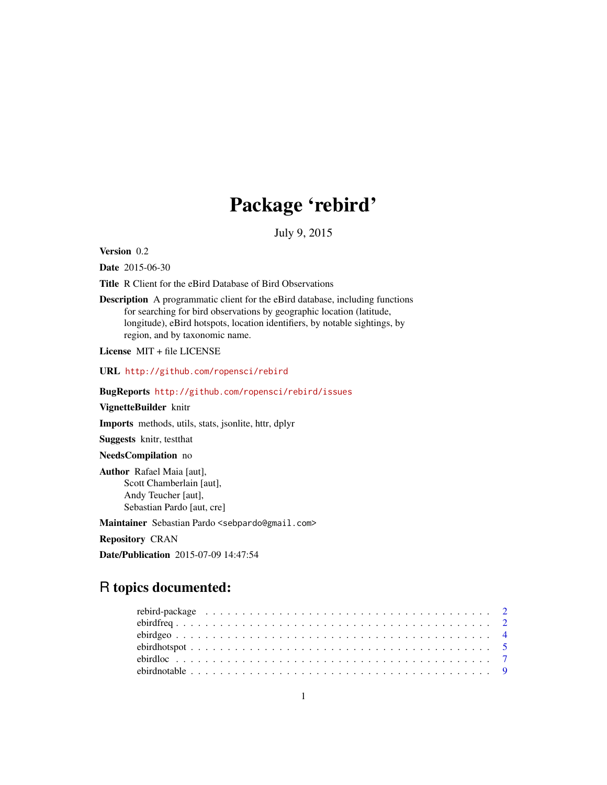# Package 'rebird'

July 9, 2015

<span id="page-0-0"></span>Version 0.2

Date 2015-06-30

Title R Client for the eBird Database of Bird Observations

Description A programmatic client for the eBird database, including functions for searching for bird observations by geographic location (latitude, longitude), eBird hotspots, location identifiers, by notable sightings, by region, and by taxonomic name.

License MIT + file LICENSE

URL <http://github.com/ropensci/rebird>

BugReports <http://github.com/ropensci/rebird/issues>

#### VignetteBuilder knitr

Imports methods, utils, stats, jsonlite, httr, dplyr

Suggests knitr, testthat

#### NeedsCompilation no

Author Rafael Maia [aut], Scott Chamberlain [aut], Andy Teucher [aut], Sebastian Pardo [aut, cre]

Maintainer Sebastian Pardo <sebpardo@gmail.com>

Repository CRAN

Date/Publication 2015-07-09 14:47:54

## R topics documented: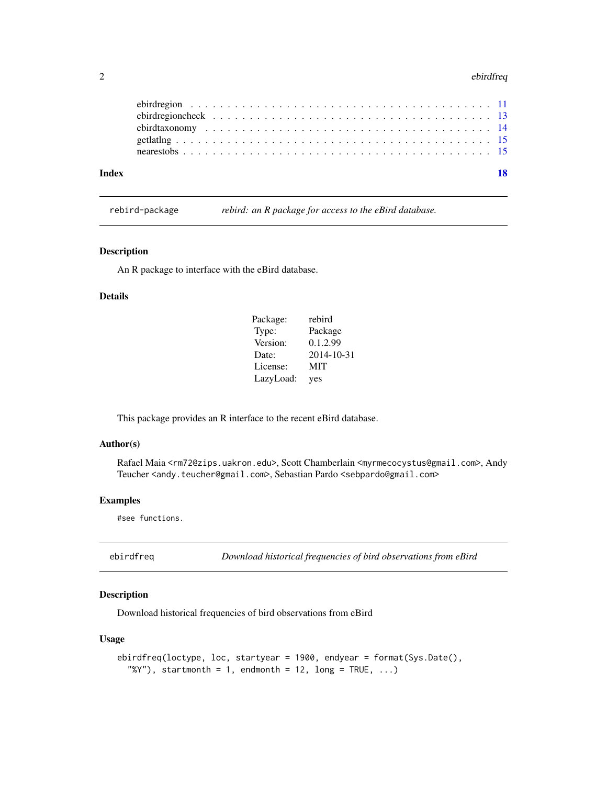#### <span id="page-1-0"></span>2 ebirdfreq

| Index |  |
|-------|--|
|       |  |
|       |  |
|       |  |
|       |  |

rebird-package *rebird: an R package for access to the eBird database.*

#### Description

An R package to interface with the eBird database.

#### Details

| Package:  | rebird     |
|-----------|------------|
| Type:     | Package    |
| Version:  | 0.1.2.99   |
| Date:     | 2014-10-31 |
| License:  | MIT        |
| LazyLoad: | yes        |

This package provides an R interface to the recent eBird database.

#### Author(s)

Rafael Maia <rm72@zips.uakron.edu>, Scott Chamberlain <myrmecocystus@gmail.com>, Andy Teucher <andy.teucher@gmail.com>, Sebastian Pardo <sebpardo@gmail.com>

#### Examples

#see functions.

Download historical frequencies of bird observations from eBird

#### Description

Download historical frequencies of bird observations from eBird

#### Usage

```
ebirdfreq(loctype, loc, startyear = 1900, endyear = format(Sys.Date(),
  "%Y"), startmonth = 1, endmonth = 12, long = TRUE, \ldots)
```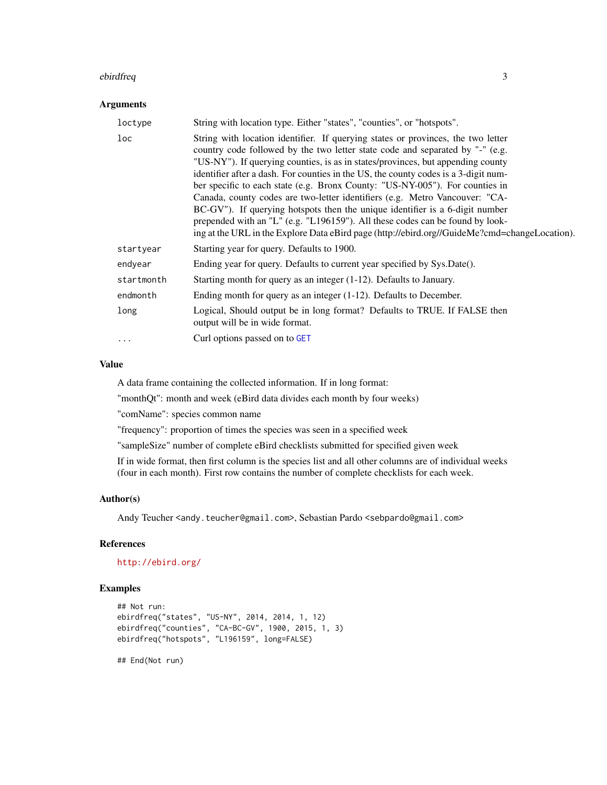#### <span id="page-2-0"></span>ebirdfreq 3

#### Arguments

| loctype         | String with location type. Either "states", "counties", or "hotspots".                                                                                                                                                                                                                                                                                                                                                                                                                                                                                                                                                                                                                                                                                                       |
|-----------------|------------------------------------------------------------------------------------------------------------------------------------------------------------------------------------------------------------------------------------------------------------------------------------------------------------------------------------------------------------------------------------------------------------------------------------------------------------------------------------------------------------------------------------------------------------------------------------------------------------------------------------------------------------------------------------------------------------------------------------------------------------------------------|
| $_{\text{loc}}$ | String with location identifier. If querying states or provinces, the two letter<br>country code followed by the two letter state code and separated by "-" (e.g.<br>"US-NY"). If querying counties, is as in states/provinces, but appending county<br>identifier after a dash. For counties in the US, the county codes is a 3-digit num-<br>ber specific to each state (e.g. Bronx County: "US-NY-005"). For counties in<br>Canada, county codes are two-letter identifiers (e.g. Metro Vancouver: "CA-<br>BC-GV"). If querying hotspots then the unique identifier is a 6-digit number<br>prepended with an "L" (e.g. "L196159"). All these codes can be found by look-<br>ing at the URL in the Explore Data eBird page (http://ebird.org//GuideMe?cmd=changeLocation). |
| startyear       | Starting year for query. Defaults to 1900.                                                                                                                                                                                                                                                                                                                                                                                                                                                                                                                                                                                                                                                                                                                                   |
| endyear         | Ending year for query. Defaults to current year specified by Sys.Date().                                                                                                                                                                                                                                                                                                                                                                                                                                                                                                                                                                                                                                                                                                     |
| startmonth      | Starting month for query as an integer $(1-12)$ . Defaults to January.                                                                                                                                                                                                                                                                                                                                                                                                                                                                                                                                                                                                                                                                                                       |
| endmonth        | Ending month for query as an integer $(1-12)$ . Defaults to December.                                                                                                                                                                                                                                                                                                                                                                                                                                                                                                                                                                                                                                                                                                        |
| long            | Logical, Should output be in long format? Defaults to TRUE. If FALSE then<br>output will be in wide format.                                                                                                                                                                                                                                                                                                                                                                                                                                                                                                                                                                                                                                                                  |
| $\cdots$        | Curl options passed on to GET                                                                                                                                                                                                                                                                                                                                                                                                                                                                                                                                                                                                                                                                                                                                                |

#### Value

A data frame containing the collected information. If in long format:

"monthQt": month and week (eBird data divides each month by four weeks)

"comName": species common name

"frequency": proportion of times the species was seen in a specified week

"sampleSize" number of complete eBird checklists submitted for specified given week

If in wide format, then first column is the species list and all other columns are of individual weeks (four in each month). First row contains the number of complete checklists for each week.

#### Author(s)

Andy Teucher <andy.teucher@gmail.com>, Sebastian Pardo <sebpardo@gmail.com>

#### References

#### <http://ebird.org/>

#### Examples

```
## Not run:
ebirdfreq("states", "US-NY", 2014, 2014, 1, 12)
ebirdfreq("counties", "CA-BC-GV", 1900, 2015, 1, 3)
ebirdfreq("hotspots", "L196159", long=FALSE)
```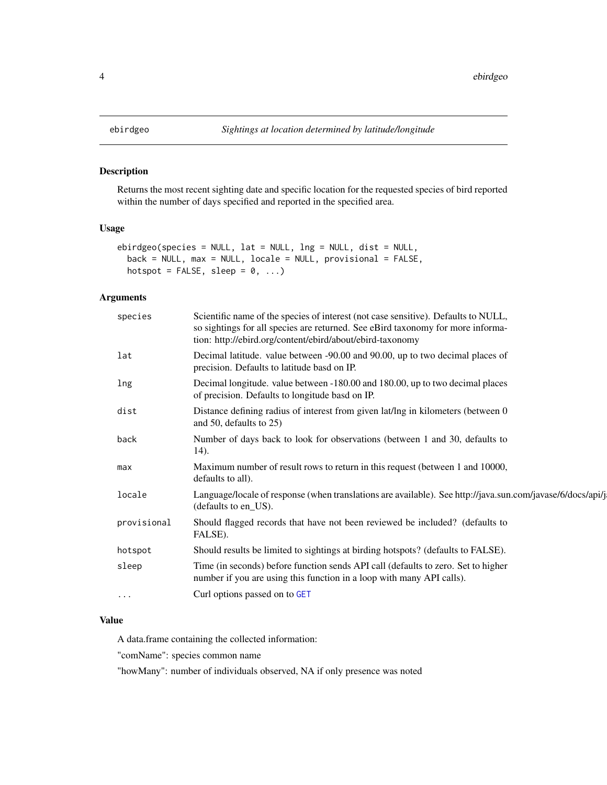Returns the most recent sighting date and specific location for the requested species of bird reported within the number of days specified and reported in the specified area.

#### Usage

```
ebirdgeo(species = NULL, lat = NULL, lng = NULL, dist = NULL,
 back = NULL, max = NULL, locale = NULL, provisional = FALSE,
 hotspot = FALSE, sleep = 0, ...)
```
#### Arguments

| species     | Scientific name of the species of interest (not case sensitive). Defaults to NULL,<br>so sightings for all species are returned. See eBird taxonomy for more informa-<br>tion: http://ebird.org/content/ebird/about/ebird-taxonomy |
|-------------|------------------------------------------------------------------------------------------------------------------------------------------------------------------------------------------------------------------------------------|
| lat         | Decimal latitude. value between -90.00 and 90.00, up to two decimal places of<br>precision. Defaults to latitude basd on IP.                                                                                                       |
| lng         | Decimal longitude. value between -180.00 and 180.00, up to two decimal places<br>of precision. Defaults to longitude basd on IP.                                                                                                   |
| dist        | Distance defining radius of interest from given lat/lng in kilometers (between 0<br>and 50, defaults to $25$ )                                                                                                                     |
| back        | Number of days back to look for observations (between 1 and 30, defaults to<br>14).                                                                                                                                                |
| max         | Maximum number of result rows to return in this request (between 1 and 10000,<br>defaults to all).                                                                                                                                 |
| locale      | Language/locale of response (when translations are available). See http://java.sun.com/javase/6/docs/api/j<br>(defaults to en_US).                                                                                                 |
| provisional | Should flagged records that have not been reviewed be included? (defaults to<br>FALSE).                                                                                                                                            |
| hotspot     | Should results be limited to sightings at birding hotspots? (defaults to FALSE).                                                                                                                                                   |
| sleep       | Time (in seconds) before function sends API call (defaults to zero. Set to higher<br>number if you are using this function in a loop with many API calls).                                                                         |
| $\cdot$     | Curl options passed on to GET                                                                                                                                                                                                      |
|             |                                                                                                                                                                                                                                    |

#### Value

A data.frame containing the collected information:

"comName": species common name

"howMany": number of individuals observed, NA if only presence was noted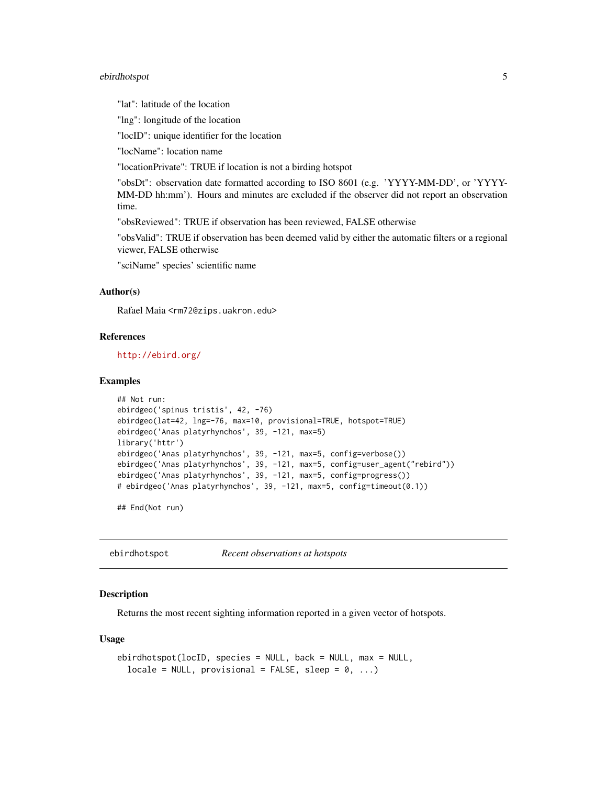#### <span id="page-4-0"></span>ebirdhotspot 5

"lat": latitude of the location

"lng": longitude of the location

"locID": unique identifier for the location

"locName": location name

"locationPrivate": TRUE if location is not a birding hotspot

"obsDt": observation date formatted according to ISO 8601 (e.g. 'YYYY-MM-DD', or 'YYYY-MM-DD hh:mm'). Hours and minutes are excluded if the observer did not report an observation time.

"obsReviewed": TRUE if observation has been reviewed, FALSE otherwise

"obsValid": TRUE if observation has been deemed valid by either the automatic filters or a regional viewer, FALSE otherwise

"sciName" species' scientific name

#### Author(s)

Rafael Maia <rm72@zips.uakron.edu>

#### References

<http://ebird.org/>

#### Examples

```
## Not run:
ebirdgeo('spinus tristis', 42, -76)
ebirdgeo(lat=42, lng=-76, max=10, provisional=TRUE, hotspot=TRUE)
ebirdgeo('Anas platyrhynchos', 39, -121, max=5)
library('httr')
ebirdgeo('Anas platyrhynchos', 39, -121, max=5, config=verbose())
ebirdgeo('Anas platyrhynchos', 39, -121, max=5, config=user_agent("rebird"))
ebirdgeo('Anas platyrhynchos', 39, -121, max=5, config=progress())
# ebirdgeo('Anas platyrhynchos', 39, -121, max=5, config=timeout(0.1))
```
## End(Not run)

ebirdhotspot *Recent observations at hotspots*

#### Description

Returns the most recent sighting information reported in a given vector of hotspots.

#### Usage

```
ebirdhotspot(locID, species = NULL, back = NULL, max = NULL,
  locale = NULL, provisional = FALSE, sleep = 0, ...)
```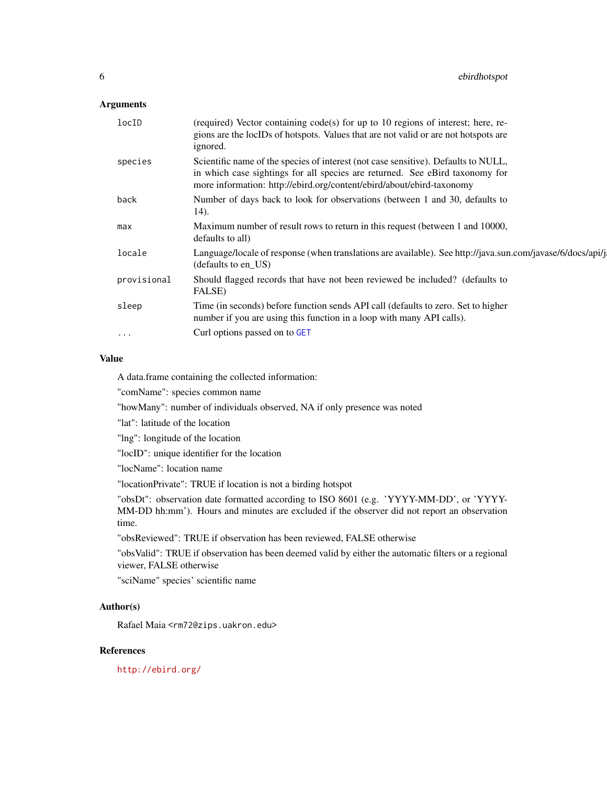#### <span id="page-5-0"></span>Arguments

| locID       | (required) Vector containing code(s) for up to 10 regions of interest; here, re-<br>gions are the locIDs of hotspots. Values that are not valid or are not hotspots are<br>ignored.                                                         |
|-------------|---------------------------------------------------------------------------------------------------------------------------------------------------------------------------------------------------------------------------------------------|
| species     | Scientific name of the species of interest (not case sensitive). Defaults to NULL,<br>in which case sightings for all species are returned. See eBird taxonomy for<br>more information: http://ebird.org/content/ebird/about/ebird-taxonomy |
| back        | Number of days back to look for observations (between 1 and 30, defaults to<br>14).                                                                                                                                                         |
| max         | Maximum number of result rows to return in this request (between 1 and 10000,<br>defaults to all)                                                                                                                                           |
| locale      | Language/locale of response (when translations are available). See http://java.sun.com/javase/6/docs/api/j<br>(defaults to en_US)                                                                                                           |
| provisional | Should flagged records that have not been reviewed be included? (defaults to<br>FALSE)                                                                                                                                                      |
| sleep       | Time (in seconds) before function sends API call (defaults to zero. Set to higher<br>number if you are using this function in a loop with many API calls).                                                                                  |
| $\ddotsc$   | Curl options passed on to GET                                                                                                                                                                                                               |
|             |                                                                                                                                                                                                                                             |

#### Value

A data.frame containing the collected information:

"comName": species common name

"howMany": number of individuals observed, NA if only presence was noted

"lat": latitude of the location

"lng": longitude of the location

"locID": unique identifier for the location

"locName": location name

"locationPrivate": TRUE if location is not a birding hotspot

"obsDt": observation date formatted according to ISO 8601 (e.g. 'YYYY-MM-DD', or 'YYYY-MM-DD hh:mm'). Hours and minutes are excluded if the observer did not report an observation time.

"obsReviewed": TRUE if observation has been reviewed, FALSE otherwise

"obsValid": TRUE if observation has been deemed valid by either the automatic filters or a regional viewer, FALSE otherwise

"sciName" species' scientific name

#### Author(s)

Rafael Maia <rm72@zips.uakron.edu>

#### References

<http://ebird.org/>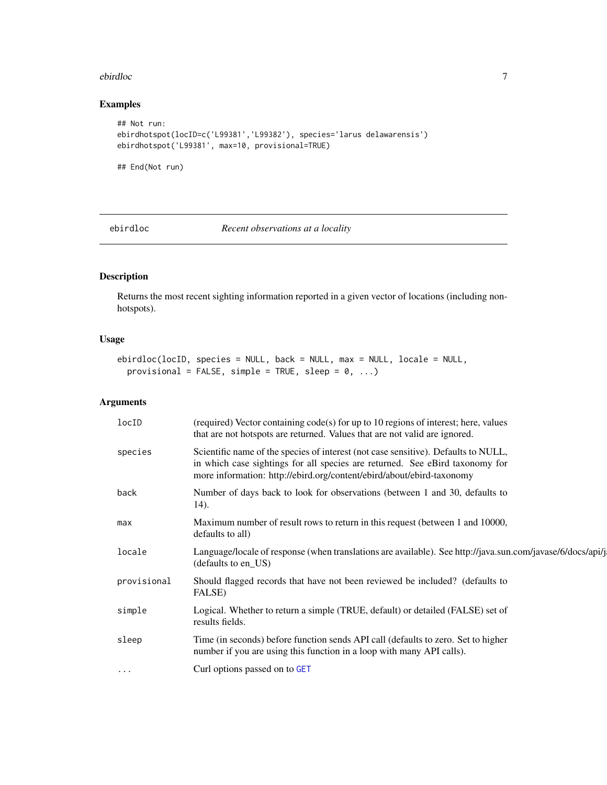#### <span id="page-6-0"></span>ebirdloc 7 and 7 and 7 and 7 and 7 and 7 and 7 and 7 and 7 and 7 and 7 and 7 and 7 and 7 and 7 and 7 and 7 and 7 and 7 and 7 and 7 and 7 and 7 and 7 and 7 and 7 and 7 and 7 and 7 and 7 and 7 and 7 and 7 and 7 and 7 and 7 a

#### Examples

```
## Not run:
ebirdhotspot(locID=c('L99381','L99382'), species='larus delawarensis')
ebirdhotspot('L99381', max=10, provisional=TRUE)
```
## End(Not run)

ebirdloc *Recent observations at a locality*

#### Description

Returns the most recent sighting information reported in a given vector of locations (including nonhotspots).

#### Usage

```
ebirdloc(locID, species = NULL, back = NULL, max = NULL, locale = NULL,
 provisional = FALSE, simple = TRUE, sleep = 0, ...)
```
#### Arguments

| locID       | (required) Vector containing code(s) for up to 10 regions of interest; here, values<br>that are not hotspots are returned. Values that are not valid are ignored.                                                                           |
|-------------|---------------------------------------------------------------------------------------------------------------------------------------------------------------------------------------------------------------------------------------------|
| species     | Scientific name of the species of interest (not case sensitive). Defaults to NULL,<br>in which case sightings for all species are returned. See eBird taxonomy for<br>more information: http://ebird.org/content/ebird/about/ebird-taxonomy |
| back        | Number of days back to look for observations (between 1 and 30, defaults to<br>14).                                                                                                                                                         |
| max         | Maximum number of result rows to return in this request (between 1 and 10000,<br>defaults to all)                                                                                                                                           |
| locale      | Language/locale of response (when translations are available). See http://java.sun.com/javase/6/docs/api/j<br>(defaults to en_US)                                                                                                           |
| provisional | Should flagged records that have not been reviewed be included? (defaults to<br>FALSE)                                                                                                                                                      |
| simple      | Logical. Whether to return a simple (TRUE, default) or detailed (FALSE) set of<br>results fields.                                                                                                                                           |
| sleep       | Time (in seconds) before function sends API call (defaults to zero. Set to higher<br>number if you are using this function in a loop with many API calls).                                                                                  |
| $\cdots$    | Curl options passed on to GET                                                                                                                                                                                                               |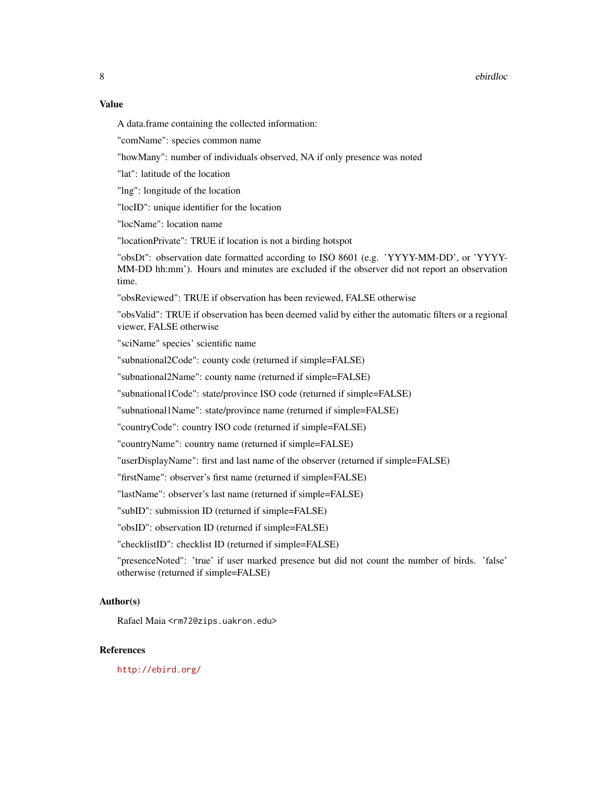#### 8 ebirdloc

#### Value

A data.frame containing the collected information:

"comName": species common name

"howMany": number of individuals observed, NA if only presence was noted

"lat": latitude of the location

"lng": longitude of the location

"locID": unique identifier for the location

"locName": location name

"locationPrivate": TRUE if location is not a birding hotspot

"obsDt": observation date formatted according to ISO 8601 (e.g. 'YYYY-MM-DD', or 'YYYY-MM-DD hh:mm'). Hours and minutes are excluded if the observer did not report an observation time.

"obsReviewed": TRUE if observation has been reviewed, FALSE otherwise

"obsValid": TRUE if observation has been deemed valid by either the automatic filters or a regional viewer, FALSE otherwise

"sciName" species' scientific name

"subnational2Code": county code (returned if simple=FALSE)

"subnational2Name": county name (returned if simple=FALSE)

"subnational1Code": state/province ISO code (returned if simple=FALSE)

"subnational1Name": state/province name (returned if simple=FALSE)

"countryCode": country ISO code (returned if simple=FALSE)

"countryName": country name (returned if simple=FALSE)

"userDisplayName": first and last name of the observer (returned if simple=FALSE)

"firstName": observer's first name (returned if simple=FALSE)

"lastName": observer's last name (returned if simple=FALSE)

"subID": submission ID (returned if simple=FALSE)

"obsID": observation ID (returned if simple=FALSE)

"checklistID": checklist ID (returned if simple=FALSE)

"presenceNoted": 'true' if user marked presence but did not count the number of birds. 'false' otherwise (returned if simple=FALSE)

#### Author(s)

Rafael Maia <rm72@zips.uakron.edu>

#### References

<http://ebird.org/>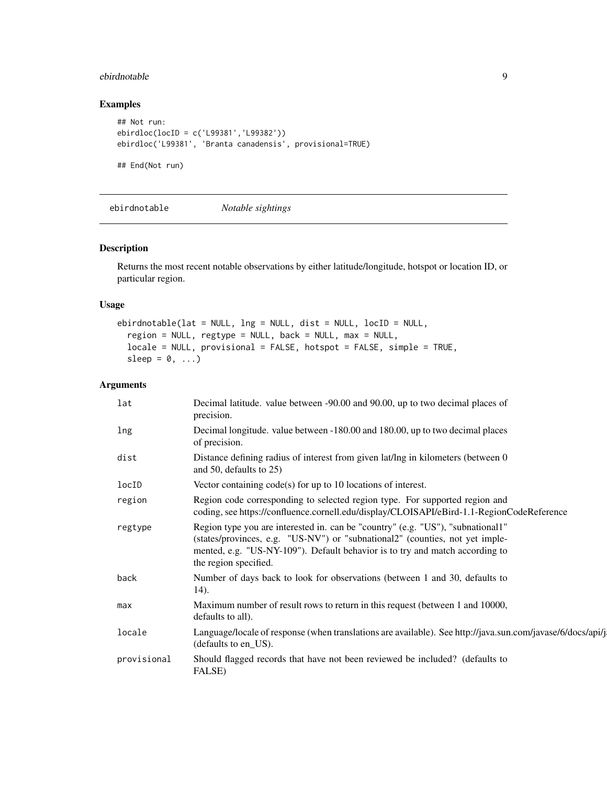#### <span id="page-8-0"></span>ebirdnotable 9

#### Examples

```
## Not run:
ebirdloc(locID = c('L99381','L99382'))
ebirdloc('L99381', 'Branta canadensis', provisional=TRUE)
## End(Not run)
```
ebirdnotable *Notable sightings*

#### Description

Returns the most recent notable observations by either latitude/longitude, hotspot or location ID, or particular region.

#### Usage

```
ebirdnotable(lat = NULL, lng = NULL, dist = NULL, locID = NULL,
  region = NULL, regtype = NULL, back = NULL, max = NULL,
  locale = NULL, provisional = FALSE, hotspot = FALSE, simple = TRUE,
  sleep = 0, \ldots)
```
#### Arguments

| lat         | Decimal latitude. value between -90.00 and 90.00, up to two decimal places of<br>precision.                                                                                                                                                                              |
|-------------|--------------------------------------------------------------------------------------------------------------------------------------------------------------------------------------------------------------------------------------------------------------------------|
| lng         | Decimal longitude. value between -180.00 and 180.00, up to two decimal places<br>of precision.                                                                                                                                                                           |
| dist        | Distance defining radius of interest from given lat/lng in kilometers (between 0)<br>and 50, defaults to 25)                                                                                                                                                             |
| locID       | Vector containing $code(s)$ for up to 10 locations of interest.                                                                                                                                                                                                          |
| region      | Region code corresponding to selected region type. For supported region and<br>coding, see https://confluence.cornell.edu/display/CLOISAPI/eBird-1.1-RegionCodeReference                                                                                                 |
| regtype     | Region type you are interested in. can be "country" (e.g. "US"), "subnational1"<br>(states/provinces, e.g. "US-NV") or "subnational2" (counties, not yet imple-<br>mented, e.g. "US-NY-109"). Default behavior is to try and match according to<br>the region specified. |
| back        | Number of days back to look for observations (between 1 and 30, defaults to<br>14).                                                                                                                                                                                      |
| max         | Maximum number of result rows to return in this request (between 1 and 10000,<br>defaults to all).                                                                                                                                                                       |
| locale      | Language/locale of response (when translations are available). See http://java.sun.com/javase/6/docs/api/j<br>(defaults to en_US).                                                                                                                                       |
| provisional | Should flagged records that have not been reviewed be included? (defaults to<br>FALSE)                                                                                                                                                                                   |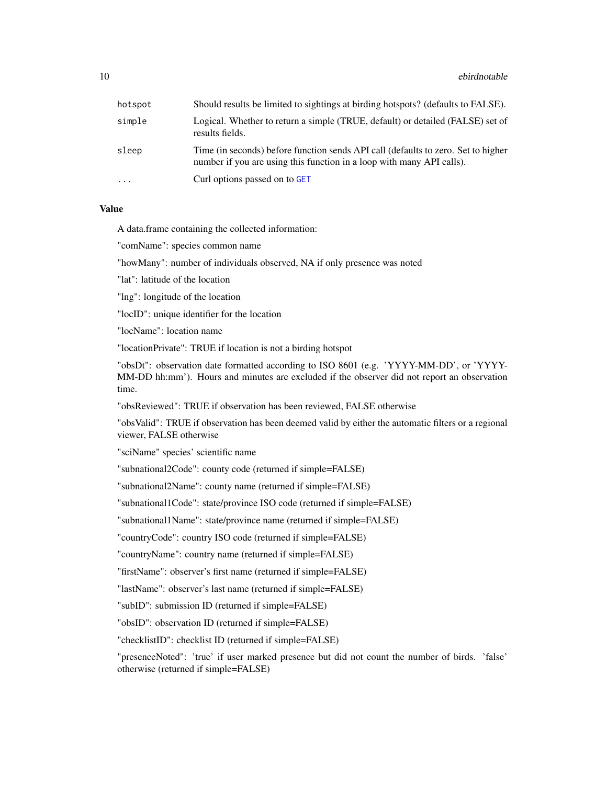<span id="page-9-0"></span>

| hotspot   | Should results be limited to sightings at birding hotspots? (defaults to FALSE).                                                                           |
|-----------|------------------------------------------------------------------------------------------------------------------------------------------------------------|
| simple    | Logical. Whether to return a simple (TRUE, default) or detailed (FALSE) set of<br>results fields.                                                          |
| sleep     | Time (in seconds) before function sends API call (defaults to zero. Set to higher<br>number if you are using this function in a loop with many API calls). |
| $\ddotsc$ | Curl options passed on to GET                                                                                                                              |

#### Value

A data.frame containing the collected information:

"comName": species common name

"howMany": number of individuals observed, NA if only presence was noted

"lat": latitude of the location

"lng": longitude of the location

"locID": unique identifier for the location

"locName": location name

"locationPrivate": TRUE if location is not a birding hotspot

"obsDt": observation date formatted according to ISO 8601 (e.g. 'YYYY-MM-DD', or 'YYYY-MM-DD hh:mm'). Hours and minutes are excluded if the observer did not report an observation time.

"obsReviewed": TRUE if observation has been reviewed, FALSE otherwise

"obsValid": TRUE if observation has been deemed valid by either the automatic filters or a regional viewer, FALSE otherwise

"sciName" species' scientific name

"subnational2Code": county code (returned if simple=FALSE)

"subnational2Name": county name (returned if simple=FALSE)

"subnational1Code": state/province ISO code (returned if simple=FALSE)

"subnational1Name": state/province name (returned if simple=FALSE)

"countryCode": country ISO code (returned if simple=FALSE)

"countryName": country name (returned if simple=FALSE)

"firstName": observer's first name (returned if simple=FALSE)

"lastName": observer's last name (returned if simple=FALSE)

"subID": submission ID (returned if simple=FALSE)

"obsID": observation ID (returned if simple=FALSE)

"checklistID": checklist ID (returned if simple=FALSE)

"presenceNoted": 'true' if user marked presence but did not count the number of birds. 'false' otherwise (returned if simple=FALSE)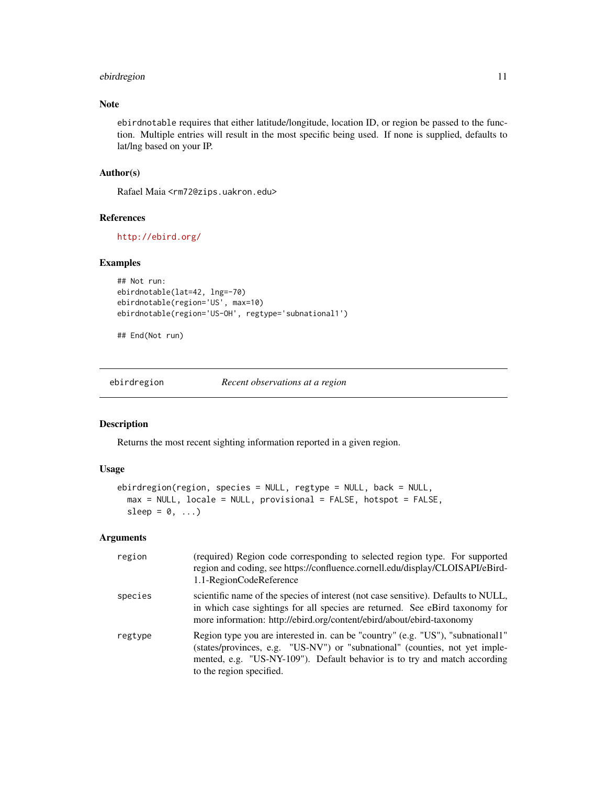#### <span id="page-10-0"></span>ebirdregion 11

#### Note

ebirdnotable requires that either latitude/longitude, location ID, or region be passed to the function. Multiple entries will result in the most specific being used. If none is supplied, defaults to lat/lng based on your IP.

#### Author(s)

Rafael Maia <rm72@zips.uakron.edu>

#### References

<http://ebird.org/>

#### Examples

```
## Not run:
ebirdnotable(lat=42, lng=-70)
ebirdnotable(region='US', max=10)
ebirdnotable(region='US-OH', regtype='subnational1')
```
## End(Not run)

ebirdregion *Recent observations at a region*

#### Description

Returns the most recent sighting information reported in a given region.

#### Usage

```
ebirdregion(region, species = NULL, regtype = NULL, back = NULL,
  max = NULL, locale = NULL, provisional = FALSE, hotspot = FALSE,
  sleep = 0, \ldots)
```
#### Arguments

| region  | (required) Region code corresponding to selected region type. For supported<br>region and coding, see https://confluence.cornell.edu/display/CLOISAPI/eBird-<br>1.1-RegionCodeReference                                                                                 |
|---------|-------------------------------------------------------------------------------------------------------------------------------------------------------------------------------------------------------------------------------------------------------------------------|
| species | scientific name of the species of interest (not case sensitive). Defaults to NULL,<br>in which case sightings for all species are returned. See eBird taxonomy for<br>more information: http://ebird.org/content/ebird/about/ebird-taxonomy                             |
| regtype | Region type you are interested in. can be "country" (e.g. "US"), "subnational1"<br>(states/provinces, e.g. "US-NV") or "subnational" (counties, not yet imple-<br>mented, e.g. "US-NY-109"). Default behavior is to try and match according<br>to the region specified. |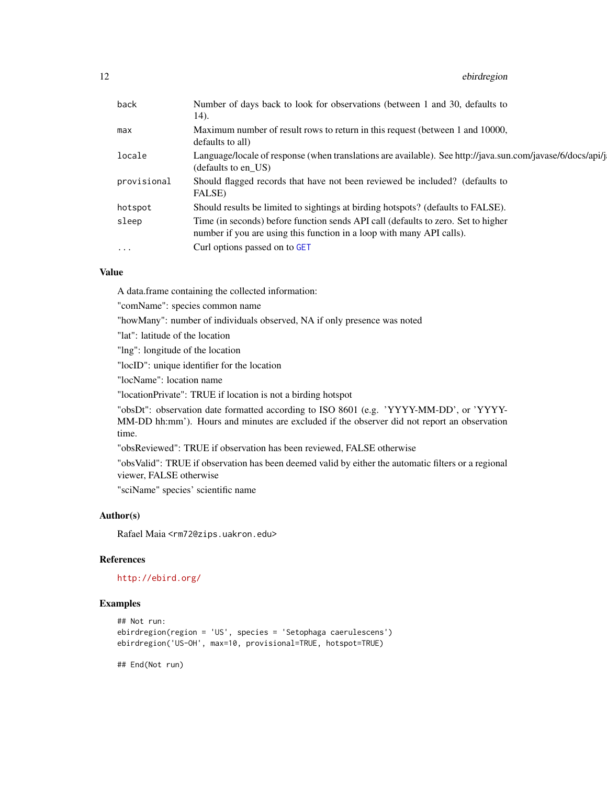#### <span id="page-11-0"></span>12 ebirdregion

| back        | Number of days back to look for observations (between 1 and 30, defaults to                                                                                |
|-------------|------------------------------------------------------------------------------------------------------------------------------------------------------------|
|             | 14).                                                                                                                                                       |
| max         | Maximum number of result rows to return in this request (between 1 and 10000,<br>defaults to all)                                                          |
| locale      | Language/locale of response (when translations are available). See http://java.sun.com/javase/6/docs/api/j<br>(defaults to en US)                          |
| provisional | Should flagged records that have not been reviewed be included? (defaults to<br>FALSE)                                                                     |
| hotspot     | Should results be limited to sightings at birding hotspots? (defaults to FALSE).                                                                           |
| sleep       | Time (in seconds) before function sends API call (defaults to zero. Set to higher<br>number if you are using this function in a loop with many API calls). |
| $\ddots$ .  | Curl options passed on to GET                                                                                                                              |
|             |                                                                                                                                                            |

#### Value

A data.frame containing the collected information:

"comName": species common name

"howMany": number of individuals observed, NA if only presence was noted

"lat": latitude of the location

"lng": longitude of the location

"locID": unique identifier for the location

"locName": location name

"locationPrivate": TRUE if location is not a birding hotspot

"obsDt": observation date formatted according to ISO 8601 (e.g. 'YYYY-MM-DD', or 'YYYY-MM-DD hh:mm'). Hours and minutes are excluded if the observer did not report an observation time.

"obsReviewed": TRUE if observation has been reviewed, FALSE otherwise

"obsValid": TRUE if observation has been deemed valid by either the automatic filters or a regional viewer, FALSE otherwise

"sciName" species' scientific name

#### Author(s)

Rafael Maia <rm72@zips.uakron.edu>

#### References

<http://ebird.org/>

#### Examples

```
## Not run:
ebirdregion(region = 'US', species = 'Setophaga caerulescens')
ebirdregion('US-OH', max=10, provisional=TRUE, hotspot=TRUE)
```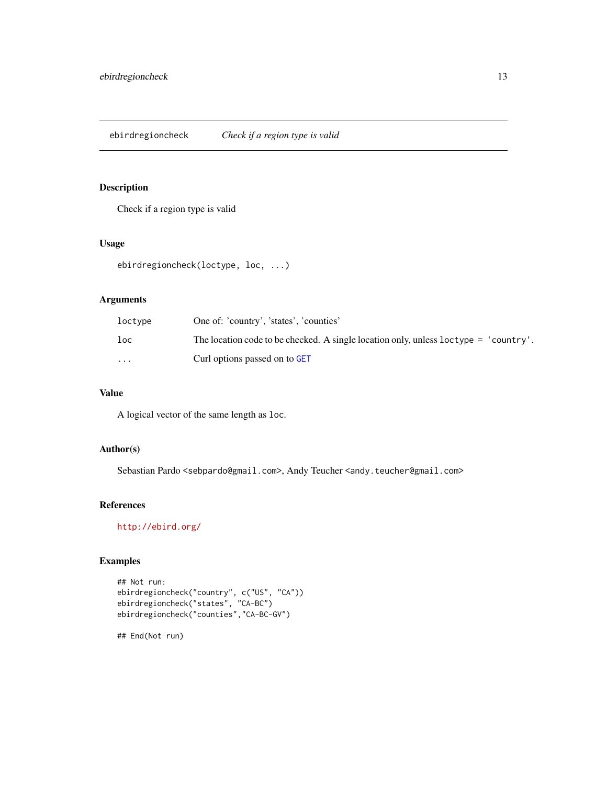<span id="page-12-0"></span>Check if a region type is valid

#### Usage

```
ebirdregioncheck(loctype, loc, ...)
```
#### Arguments

| loctype                 | One of: 'country', 'states', 'counties'                                              |
|-------------------------|--------------------------------------------------------------------------------------|
| loc                     | The location code to be checked. A single location only, unless loctype = 'country'. |
| $\cdot$ $\cdot$ $\cdot$ | Curl options passed on to GET                                                        |

#### Value

A logical vector of the same length as loc.

#### Author(s)

Sebastian Pardo <sebpardo@gmail.com>, Andy Teucher <andy.teucher@gmail.com>

#### References

<http://ebird.org/>

#### Examples

```
## Not run:
ebirdregioncheck("country", c("US", "CA"))
ebirdregioncheck("states", "CA-BC")
ebirdregioncheck("counties","CA-BC-GV")
```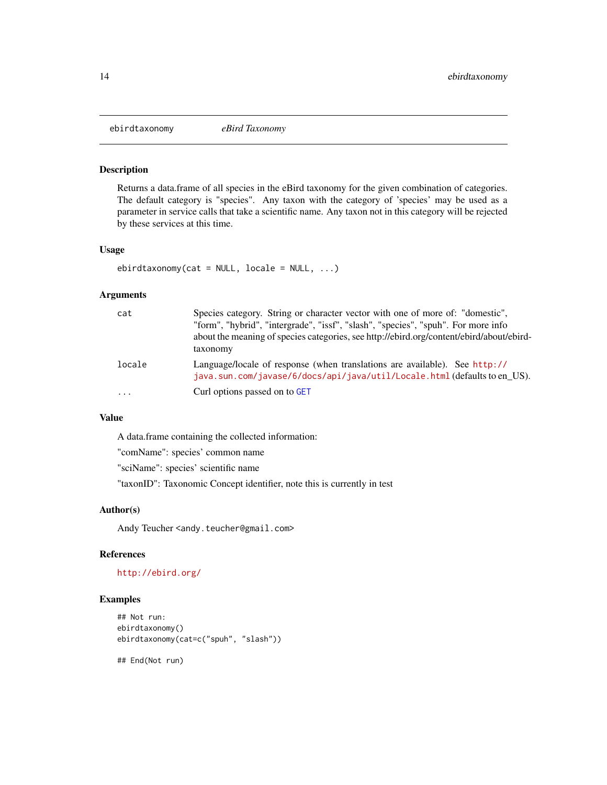<span id="page-13-0"></span>

Returns a data.frame of all species in the eBird taxonomy for the given combination of categories. The default category is "species". Any taxon with the category of 'species' may be used as a parameter in service calls that take a scientific name. Any taxon not in this category will be rejected by these services at this time.

#### Usage

```
ebirdtaxonomy(cat = NULL, locale = NULL, ...)
```
#### Arguments

| cat    | Species category. String or character vector with one of more of: "domestic",<br>"form", "hybrid", "intergrade", "issf", "slash", "species", "spuh". For more info<br>about the meaning of species categories, see http://ebird.org/content/ebird/about/ebird-<br>taxonomy |
|--------|----------------------------------------------------------------------------------------------------------------------------------------------------------------------------------------------------------------------------------------------------------------------------|
| locale | Language/locale of response (when translations are available). See http://<br>java.sun.com/javase/6/docs/api/java/util/Locale.html(defaults to en US).                                                                                                                     |
| .      | Curl options passed on to GET                                                                                                                                                                                                                                              |

#### Value

A data.frame containing the collected information:

"comName": species' common name

"sciName": species' scientific name

"taxonID": Taxonomic Concept identifier, note this is currently in test

#### Author(s)

Andy Teucher <andy.teucher@gmail.com>

#### References

#### <http://ebird.org/>

#### Examples

```
## Not run:
ebirdtaxonomy()
ebirdtaxonomy(cat=c("spuh", "slash"))
```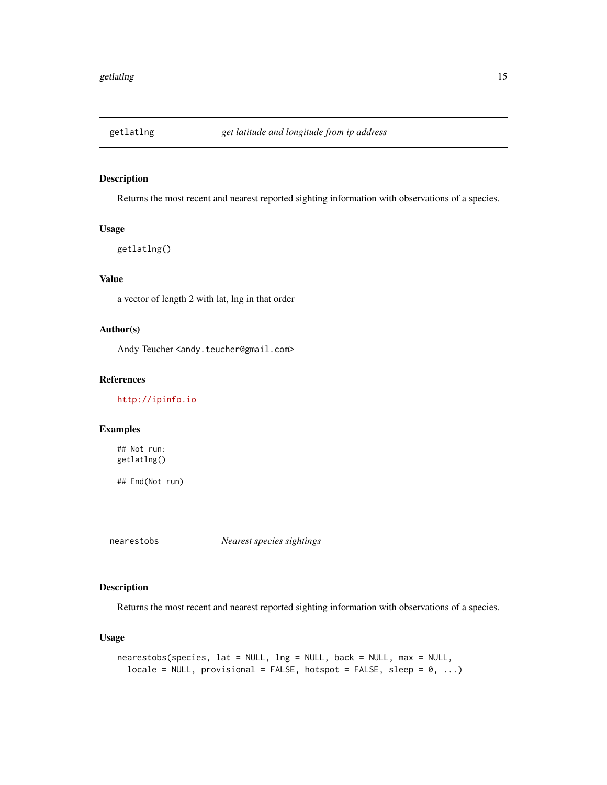<span id="page-14-0"></span>

Returns the most recent and nearest reported sighting information with observations of a species.

#### Usage

getlatlng()

### Value

a vector of length 2 with lat, lng in that order

#### Author(s)

Andy Teucher <andy.teucher@gmail.com>

#### References

<http://ipinfo.io>

#### Examples

## Not run: getlatlng()

## End(Not run)

nearestobs *Nearest species sightings*

#### Description

Returns the most recent and nearest reported sighting information with observations of a species.

#### Usage

```
nearestobs(species, lat = NULL, lng = NULL, back = NULL, max = NULL,
  locale = NULL, provisional = FALSE, hotspot = FALSE, sleep = 0, ...)
```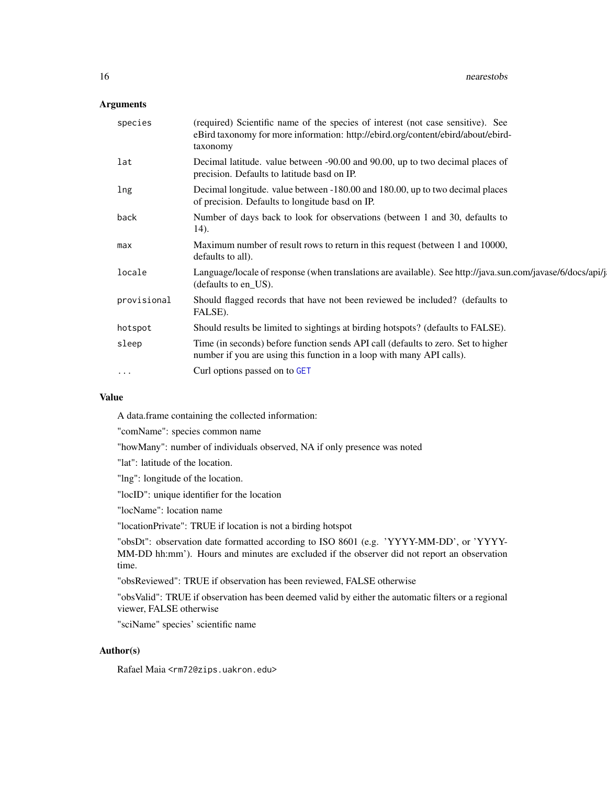#### <span id="page-15-0"></span>Arguments

| species     | (required) Scientific name of the species of interest (not case sensitive). See<br>eBird taxonomy for more information: http://ebird.org/content/ebird/about/ebird-<br>taxonomy |
|-------------|---------------------------------------------------------------------------------------------------------------------------------------------------------------------------------|
| lat         | Decimal latitude. value between -90.00 and 90.00, up to two decimal places of<br>precision. Defaults to latitude basd on IP.                                                    |
| lng         | Decimal longitude. value between -180.00 and 180.00, up to two decimal places<br>of precision. Defaults to longitude basd on IP.                                                |
| back        | Number of days back to look for observations (between 1 and 30, defaults to<br>14).                                                                                             |
| max         | Maximum number of result rows to return in this request (between 1 and 10000,<br>defaults to all).                                                                              |
| locale      | Language/locale of response (when translations are available). See http://java.sun.com/javase/6/docs/api/j<br>(defaults to en_US).                                              |
| provisional | Should flagged records that have not been reviewed be included? (defaults to<br>FALSE).                                                                                         |
| hotspot     | Should results be limited to sightings at birding hotspots? (defaults to FALSE).                                                                                                |
| sleep       | Time (in seconds) before function sends API call (defaults to zero. Set to higher<br>number if you are using this function in a loop with many API calls).                      |
| $\cdot$     | Curl options passed on to GET                                                                                                                                                   |
|             |                                                                                                                                                                                 |

#### Value

A data.frame containing the collected information:

"comName": species common name

"howMany": number of individuals observed, NA if only presence was noted

"lat": latitude of the location.

"lng": longitude of the location.

"locID": unique identifier for the location

"locName": location name

"locationPrivate": TRUE if location is not a birding hotspot

"obsDt": observation date formatted according to ISO 8601 (e.g. 'YYYY-MM-DD', or 'YYYY-MM-DD hh:mm'). Hours and minutes are excluded if the observer did not report an observation time.

"obsReviewed": TRUE if observation has been reviewed, FALSE otherwise

"obsValid": TRUE if observation has been deemed valid by either the automatic filters or a regional viewer, FALSE otherwise

"sciName" species' scientific name

#### Author(s)

Rafael Maia <rm72@zips.uakron.edu>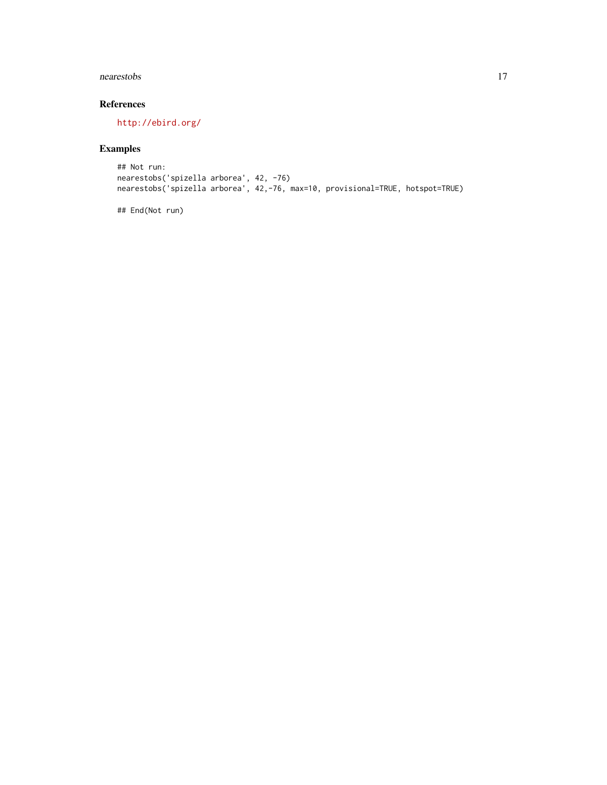#### nearestobs and the contract of the contract of the contract of the contract of the contract of the contract of the contract of the contract of the contract of the contract of the contract of the contract of the contract of

### References

<http://ebird.org/>

### Examples

```
## Not run:
nearestobs('spizella arborea', 42, -76)
nearestobs('spizella arborea', 42,-76, max=10, provisional=TRUE, hotspot=TRUE)
```